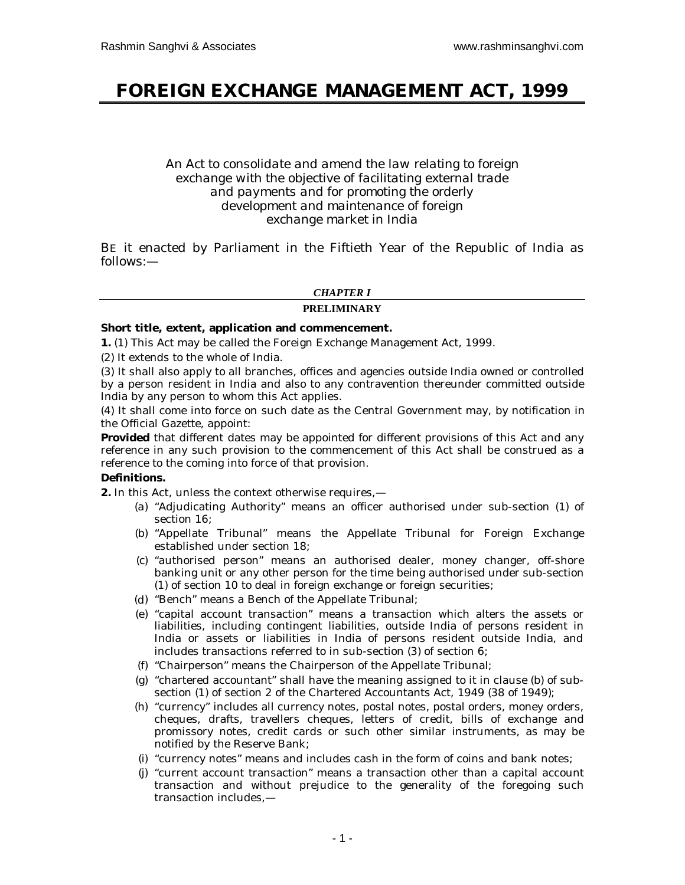# **FOREIGN EXCHANGE MANAGEMENT ACT, 1999**

# *An Act to consolidate and amend the law relating to foreign exchange with the objective of facilitating external trade and payments and for promoting the orderly development and maintenance of foreign exchange market in India*

BE it enacted by Parliament in the Fiftieth Year of the Republic of India as follows:—

## *CHAPTER I*

# **PRELIMINARY**

## **Short title, extent, application and commencement.**

**1.** (1) This Act may be called the Foreign Exchange Management Act, 1999.

(2) It extends to the whole of India.

(3) It shall also apply to all branches, offices and agencies outside India owned or controlled by a person resident in India and also to any contravention thereunder committed outside India by any person to whom this Act applies.

(4) It shall come into force on such date as the Central Government may, by notification in the Official Gazette, appoint:

**Provided** that different dates may be appointed for different provisions of this Act and any reference in any such provision to the commencement of this Act shall be construed as a reference to the coming into force of that provision.

# **Definitions.**

**2.** In this Act, unless the context otherwise requires,—

- (*a*) "Adjudicating Authority" means an officer authorised under sub-section (1) of section 16;
- (*b*) "Appellate Tribunal" means the Appellate Tribunal for Foreign Exchange established under section 18;
- (*c*) "authorised person" means an authorised dealer, money changer, off-shore banking unit or any other person for the time being authorised under sub-section (1) of section 10 to deal in foreign exchange or foreign securities;
- (*d*) "Bench" means a Bench of the Appellate Tribunal;
- (*e*) "capital account transaction" means a transaction which alters the assets or liabilities, including contingent liabilities, outside India of persons resident in India or assets or liabilities in India of persons resident outside India, and includes transactions referred to in sub-section (3) of section 6;
- (*f*) "Chairperson" means the Chairperson of the Appellate Tribunal;
- (*g*) "chartered accountant" shall have the meaning assigned to it in clause (*b*) of subsection (1) of section 2 of the Chartered Accountants Act, 1949 (38 of 1949);
- (*h*) "currency" includes all currency notes, postal notes, postal orders, money orders, cheques, drafts, travellers cheques, letters of credit, bills of exchange and promissory notes, credit cards or such other similar instruments, as may be notified by the Reserve Bank;
- (*i*) "currency notes" means and includes cash in the form of coins and bank notes;
- (*j*) "current account transaction" means a transaction other than a capital account transaction and without prejudice to the generality of the foregoing such transaction includes,—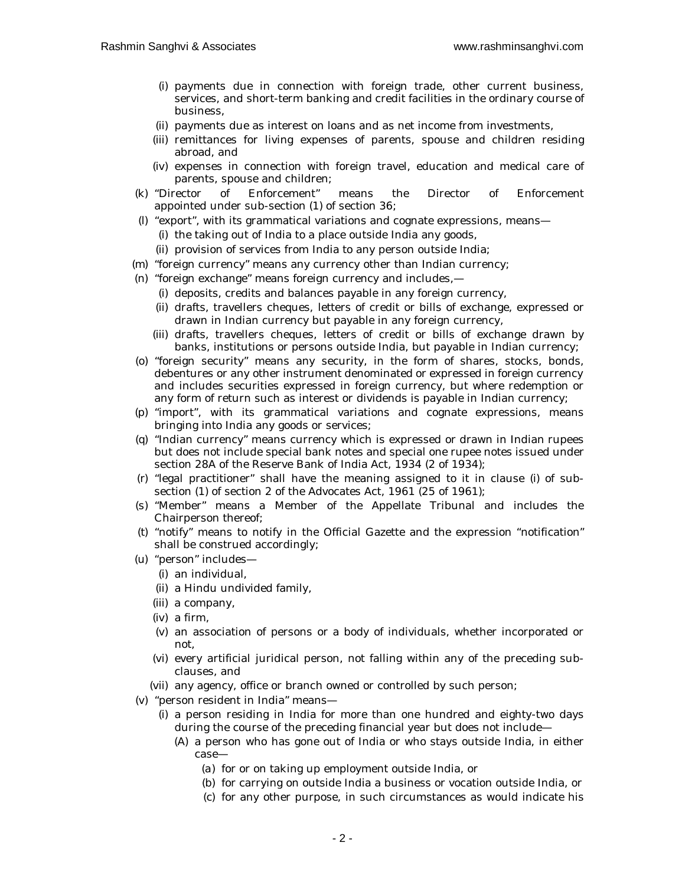- (*i*) payments due in connection with foreign trade, other current business, services, and short-term banking and credit facilities in the ordinary course of business,
- (*ii*) payments due as interest on loans and as net income from investments,
- (*iii*) remittances for living expenses of parents, spouse and children residing abroad, and
- (*iv*) expenses in connection with foreign travel, education and medical care of parents, spouse and children;
- (*k*) "Director of Enforcement" means the Director of Enforcement appointed under sub-section (1) of section 36;
- (*l*) "export", with its grammatical variations and cognate expressions, means— (*i*) the taking out of India to a place outside India any goods,
	- (*ii*) provision of services from India to any person outside India;
- (*m*) "foreign currency" means any currency other than Indian currency;
- (*n*) "foreign exchange" means foreign currency and includes,—
	- (*i*) deposits, credits and balances payable in any foreign currency,
	- (*ii*) drafts, travellers cheques, letters of credit or bills of exchange, expressed or drawn in Indian currency but payable in any foreign currency,
	- (*iii*) drafts, travellers cheques, letters of credit or bills of exchange drawn by banks, institutions or persons outside India, but payable in Indian currency;
- (*o*) "foreign security" means any security, in the form of shares, stocks, bonds, debentures or any other instrument denominated or expressed in foreign currency and includes securities expressed in foreign currency, but where redemption or any form of return such as interest or dividends is payable in Indian currency;
- (*p*) "import", with its grammatical variations and cognate expressions, means bringing into India any goods or services;
- (*q*) "Indian currency" means currency which is expressed or drawn in Indian rupees but does not include special bank notes and special one rupee notes issued under section 28A of the Reserve Bank of India Act, 1934 (2 of 1934);
- (*r*) "legal practitioner" shall have the meaning assigned to it in clause (*i*) of subsection (1) of section 2 of the Advocates Act, 1961 (25 of 1961);
- (*s*) "Member" means a Member of the Appellate Tribunal and includes the Chairperson thereof;
- (*t*) "notify" means to notify in the Official Gazette and the expression "notification" shall be construed accordingly;
- (*u*) "person" includes—
	- (*i*) an individual,
	- (*ii*) a Hindu undivided family,
	- (*iii*) a company,
	- (*iv*) a firm,
	- (*v*) an association of persons or a body of individuals, whether incorporated or not,
	- (*vi*) every artificial juridical person, not falling within any of the preceding subclauses, and
	- (*vii*) any agency, office or branch owned or controlled by such person;
- (*v*) "person resident in India" means—
	- (*i*) a person residing in India for more than one hundred and eighty-two days during the course of the preceding financial year but does not include—
		- (A) a person who has gone out of India or who stays outside India, in either case—
			- (*a*) for or on taking up employment outside India, or
			- (*b*) for carrying on outside India a business or vocation outside India, or
			- (*c*) for any other purpose, in such circumstances as would indicate his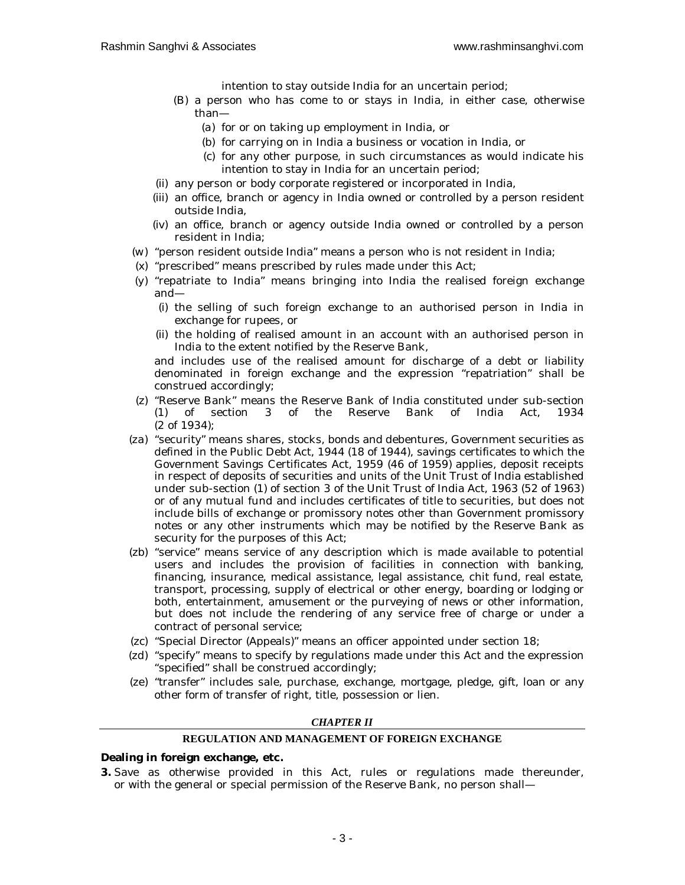intention to stay outside India for an uncertain period;

- (B) a person who has come to or stays in India, in either case, otherwise than—
	- (*a*) for or on taking up employment in India, or
	- (*b*) for carrying on in India a business or vocation in India, or
	- (*c*) for any other purpose, in such circumstances as would indicate his intention to stay in India for an uncertain period;
- (*ii*) any person or body corporate registered or incorporated in India,
- (*iii*) an office, branch or agency in India owned or controlled by a person resident outside India,
- (*iv*) an office, branch or agency outside India owned or controlled by a person resident in India;
- (*w*) "person resident outside India" means a person who is not resident in India;
- (*x*) "prescribed" means prescribed by rules made under this Act;
- (*y*) "repatriate to India" means bringing into India the realised foreign exchange and—
	- (*i*) the selling of such foreign exchange to an authorised person in India in exchange for rupees, or
	- (*ii*) the holding of realised amount in an account with an authorised person in India to the extent notified by the Reserve Bank,

 and includes use of the realised amount for discharge of a debt or liability denominated in foreign exchange and the expression "repatriation" shall be construed accordingly;

- (*z*) "Reserve Bank" means the Reserve Bank of India constituted under sub-section (1) of section 3 of the Reserve Bank of India Act, 1934 (2 of 1934);
- (*za*) "security" means shares, stocks, bonds and debentures, Government securities as defined in the Public Debt Act, 1944 (18 of 1944), savings certificates to which the Government Savings Certificates Act, 1959 (46 of 1959) applies, deposit receipts in respect of deposits of securities and units of the Unit Trust of India established under sub-section (1) of section 3 of the Unit Trust of India Act, 1963 (52 of 1963) or of any mutual fund and includes certificates of title to securities, but does not include bills of exchange or promissory notes other than Government promissory notes or any other instruments which may be notified by the Reserve Bank as security for the purposes of this Act;
- (*zb*) "service" means service of any description which is made available to potential users and includes the provision of facilities in connection with banking, financing, insurance, medical assistance, legal assistance, chit fund, real estate, transport, processing, supply of electrical or other energy, boarding or lodging or both, entertainment, amusement or the purveying of news or other information, but does not include the rendering of any service free of charge or under a contract of personal service;
- (*zc*) "Special Director (Appeals)" means an officer appointed under section 18;
- (*zd*) "specify" means to specify by regulations made under this Act and the expression "specified" shall be construed accordingly;
- (*ze*) "transfer" includes sale, purchase, exchange, mortgage, pledge, gift, loan or any other form of transfer of right, title, possession or lien.

## *CHAPTER II*

#### **REGULATION AND MANAGEMENT OF FOREIGN EXCHANGE**

## **Dealing in foreign exchange, etc.**

**3.** Save as otherwise provided in this Act, rules or regulations made thereunder, or with the general or special permission of the Reserve Bank, no person shall—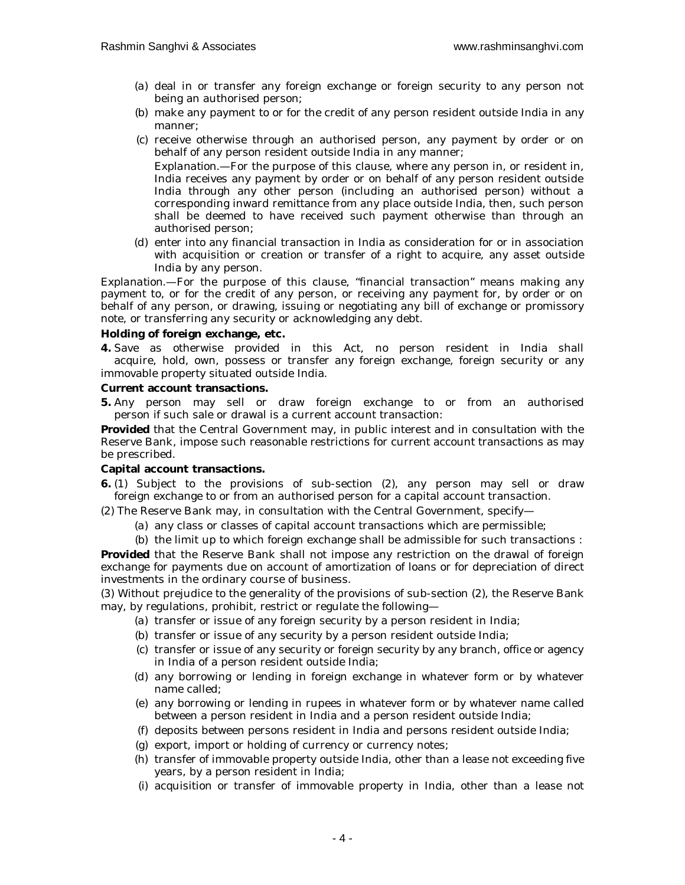- (*a*) deal in or transfer any foreign exchange or foreign security to any person not being an authorised person;
- (*b*) make any payment to or for the credit of any person resident outside India in any manner;
- (*c*) receive otherwise through an authorised person, any payment by order or on behalf of any person resident outside India in any manner;

 *Explanation.*—For the purpose of this clause, where any person in, or resident in, India receives any payment by order or on behalf of any person resident outside India through any other person (including an authorised person) without a corresponding inward remittance from any place outside India, then, such person shall be deemed to have received such payment otherwise than through an authorised person;

 (*d*) enter into any financial transaction in India as consideration for or in association with acquisition or creation or transfer of a right to acquire, any asset outside India by any person.

*Explanation.*—For the purpose of this clause, "financial transaction" means making any payment to, or for the credit of any person, or receiving any payment for, by order or on behalf of any person, or drawing, issuing or negotiating any bill of exchange or promissory note, or transferring any security or acknowledging any debt.

## **Holding of foreign exchange, etc.**

**4.** Save as otherwise provided in this Act, no person resident in India shall acquire, hold, own, possess or transfer any foreign exchange, foreign security or any immovable property situated outside India.

#### **Current account transactions.**

**5.** Any person may sell or draw foreign exchange to or from an authorised person if such sale or drawal is a current account transaction:

**Provided** that the Central Government may, in public interest and in consultation with the Reserve Bank, impose such reasonable restrictions for current account transactions as may be prescribed.

## **Capital account transactions.**

**6.** (1) Subject to the provisions of sub-section (2), any person may sell or draw foreign exchange to or from an authorised person for a capital account transaction.

(2) The Reserve Bank may, in consultation with the Central Government, specify—

- (*a*) any class or classes of capital account transactions which are permissible;
- (*b*) the limit up to which foreign exchange shall be admissible for such transactions :

**Provided** that the Reserve Bank shall not impose any restriction on the drawal of foreign exchange for payments due on account of amortization of loans or for depreciation of direct investments in the ordinary course of business.

(3) Without prejudice to the generality of the provisions of sub-section (2), the Reserve Bank may, by regulations, prohibit, restrict or regulate the following—

- (*a*) transfer or issue of any foreign security by a person resident in India;
- (*b*) transfer or issue of any security by a person resident outside India;
- (*c*) transfer or issue of any security or foreign security by any branch, office or agency in India of a person resident outside India;
- (*d*) any borrowing or lending in foreign exchange in whatever form or by whatever name called;
- (*e*) any borrowing or lending in rupees in whatever form or by whatever name called between a person resident in India and a person resident outside India;
- (*f*) deposits between persons resident in India and persons resident outside India;
- (*g*) export, import or holding of currency or currency notes;
- (*h*) transfer of immovable property outside India, other than a lease not exceeding five years, by a person resident in India;
- (*i*) acquisition or transfer of immovable property in India, other than a lease not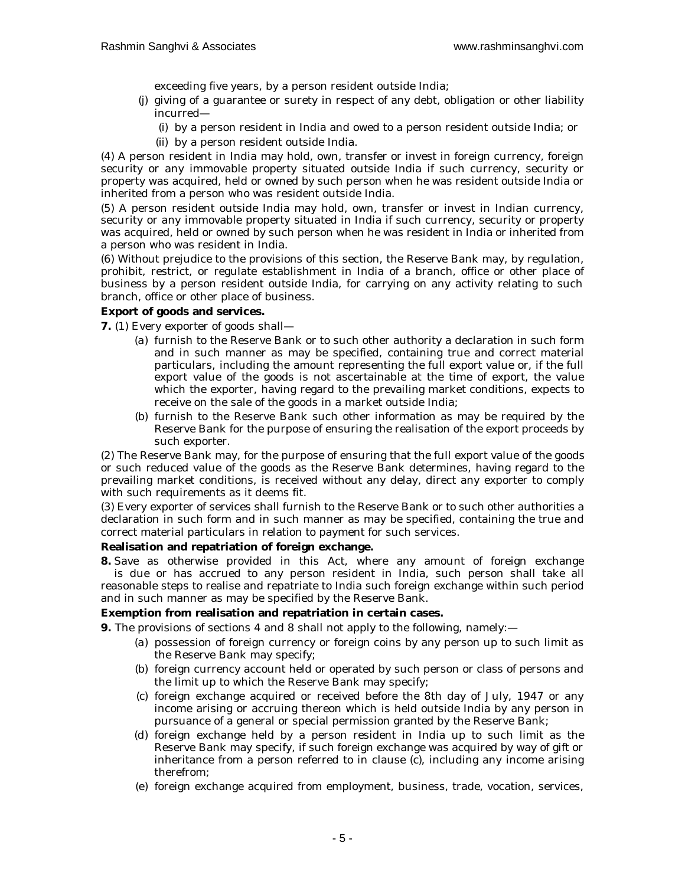exceeding five years, by a person resident outside India;

- (*j*) giving of a guarantee or surety in respect of any debt, obligation or other liability incurred—
	- (*i*) by a person resident in India and owed to a person resident outside India; or
	- (*ii*) by a person resident outside India.

(4) A person resident in India may hold, own, transfer or invest in foreign currency, foreign security or any immovable property situated outside India if such currency, security or property was acquired, held or owned by such person when he was resident outside India or inherited from a person who was resident outside India.

(5) A person resident outside India may hold, own, transfer or invest in Indian currency, security or any immovable property situated in India if such currency, security or property was acquired, held or owned by such person when he was resident in India or inherited from a person who was resident in India.

(6) Without prejudice to the provisions of this section, the Reserve Bank may, by regulation, prohibit, restrict, or regulate establishment in India of a branch, office or other place of business by a person resident outside India, for carrying on any activity relating to such branch, office or other place of business.

#### **Export of goods and services.**

**7.** (1) Every exporter of goods shall—

- (*a*) furnish to the Reserve Bank or to such other authority a declaration in such form and in such manner as may be specified, containing true and correct material particulars, including the amount representing the full export value or, if the full export value of the goods is not ascertainable at the time of export, the value which the exporter, having regard to the prevailing market conditions, expects to receive on the sale of the goods in a market outside India;
- (*b*) furnish to the Reserve Bank such other information as may be required by the Reserve Bank for the purpose of ensuring the realisation of the export proceeds by such exporter.

(2) The Reserve Bank may, for the purpose of ensuring that the full export value of the goods or such reduced value of the goods as the Reserve Bank determines, having regard to the prevailing market conditions, is received without any delay, direct any exporter to comply with such requirements as it deems fit.

(3) Every exporter of services shall furnish to the Reserve Bank or to such other authorities a declaration in such form and in such manner as may be specified, containing the true and correct material particulars in relation to payment for such services.

## **Realisation and repatriation of foreign exchange.**

**8.** Save as otherwise provided in this Act, where any amount of foreign exchange is due or has accrued to any person resident in India, such person shall take all reasonable steps to realise and repatriate to India such foreign exchange within such period and in such manner as may be specified by the Reserve Bank.

## **Exemption from realisation and repatriation in certain cases.**

**9.** The provisions of sections 4 and 8 shall not apply to the following, namely:—

- (*a*) possession of foreign currency or foreign coins by any person up to such limit as the Reserve Bank may specify;
- (*b*) foreign currency account held or operated by such person or class of persons and the limit up to which the Reserve Bank may specify;
- (*c*) foreign exchange acquired or received before the 8th day of July, 1947 or any income arising or accruing thereon which is held outside India by any person in pursuance of a general or special permission granted by the Reserve Bank;
- (*d*) foreign exchange held by a person resident in India up to such limit as the Reserve Bank may specify, if such foreign exchange was acquired by way of gift or inheritance from a person referred to in clause (*c*), including any income arising therefrom;
- (*e*) foreign exchange acquired from employment, business, trade, vocation, services,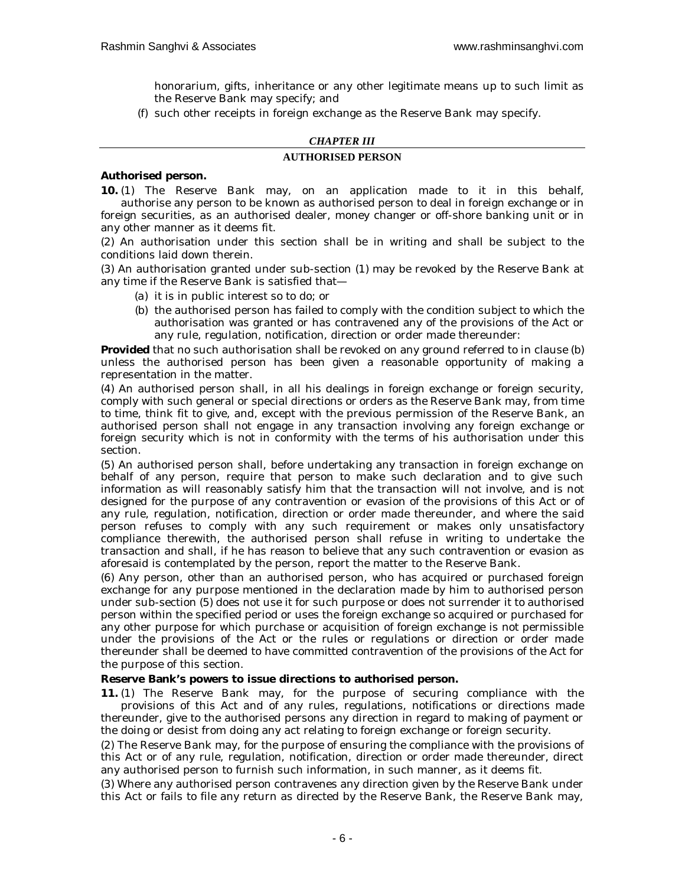honorarium, gifts, inheritance or any other legitimate means up to such limit as the Reserve Bank may specify; and

(*f*) such other receipts in foreign exchange as the Reserve Bank may specify.

## *CHAPTER III*

## **AUTHORISED PERSON**

## **Authorised person.**

**10.** (1) The Reserve Bank may, on an application made to it in this behalf, authorise any person to be known as authorised person to deal in foreign exchange or in foreign securities, as an authorised dealer, money changer or off-shore banking unit or in any other manner as it deems fit.

(2) An authorisation under this section shall be in writing and shall be subject to the conditions laid down therein.

(3) An authorisation granted under sub-section (1) may be revoked by the Reserve Bank at any time if the Reserve Bank is satisfied that—

- (*a*) it is in public interest so to do; or
- (*b*) the authorised person has failed to comply with the condition subject to which the authorisation was granted or has contravened any of the provisions of the Act or any rule, regulation, notification, direction or order made thereunder:

**Provided** that no such authorisation shall be revoked on any ground referred to in clause (*b*) unless the authorised person has been given a reasonable opportunity of making a representation in the matter.

(4) An authorised person shall, in all his dealings in foreign exchange or foreign security, comply with such general or special directions or orders as the Reserve Bank may, from time to time, think fit to give, and, except with the previous permission of the Reserve Bank, an authorised person shall not engage in any transaction involving any foreign exchange or foreign security which is not in conformity with the terms of his authorisation under this section.

(5) An authorised person shall, before undertaking any transaction in foreign exchange on behalf of any person, require that person to make such declaration and to give such information as will reasonably satisfy him that the transaction will not involve, and is not designed for the purpose of any contravention or evasion of the provisions of this Act or of any rule, regulation, notification, direction or order made thereunder, and where the said person refuses to comply with any such requirement or makes only unsatisfactory compliance therewith, the authorised person shall refuse in writing to undertake the transaction and shall, if he has reason to believe that any such contravention or evasion as aforesaid is contemplated by the person, report the matter to the Reserve Bank.

(6) Any person, other than an authorised person, who has acquired or purchased foreign exchange for any purpose mentioned in the declaration made by him to authorised person under sub-section (5) does not use it for such purpose or does not surrender it to authorised person within the specified period or uses the foreign exchange so acquired or purchased for any other purpose for which purchase or acquisition of foreign exchange is not permissible under the provisions of the Act or the rules or regulations or direction or order made thereunder shall be deemed to have committed contravention of the provisions of the Act for the purpose of this section.

# **Reserve Bank's powers to issue directions to authorised person.**

**11.** (1) The Reserve Bank may, for the purpose of securing compliance with the provisions of this Act and of any rules, regulations, notifications or directions made thereunder, give to the authorised persons any direction in regard to making of payment or the doing or desist from doing any act relating to foreign exchange or foreign security.

(2) The Reserve Bank may, for the purpose of ensuring the compliance with the provisions of this Act or of any rule, regulation, notification, direction or order made thereunder, direct any authorised person to furnish such information, in such manner, as it deems fit.

(3) Where any authorised person contravenes any direction given by the Reserve Bank under this Act or fails to file any return as directed by the Reserve Bank, the Reserve Bank may,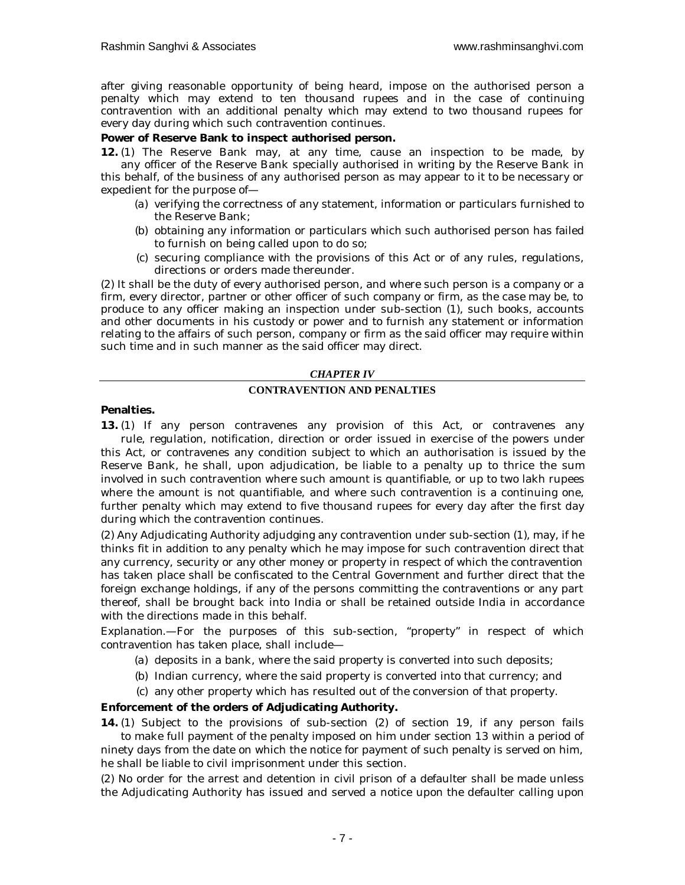after giving reasonable opportunity of being heard, impose on the authorised person a penalty which may extend to ten thousand rupees and in the case of continuing contravention with an additional penalty which may extend to two thousand rupees for every day during which such contravention continues.

## **Power of Reserve Bank to inspect authorised person.**

**12.** (1) The Reserve Bank may, at any time, cause an inspection to be made, by any officer of the Reserve Bank specially authorised in writing by the Reserve Bank in this behalf, of the business of any authorised person as may appear to it to be necessary or expedient for the purpose of—

- (*a*) verifying the correctness of any statement, information or particulars furnished to the Reserve Bank;
- (*b*) obtaining any information or particulars which such authorised person has failed to furnish on being called upon to do so;
- (*c*) securing compliance with the provisions of this Act or of any rules, regulations, directions or orders made thereunder.

(2) It shall be the duty of every authorised person, and where such person is a company or a firm, every director, partner or other officer of such company or firm, as the case may be, to produce to any officer making an inspection under sub-section (1), such books, accounts and other documents in his custody or power and to furnish any statement or information relating to the affairs of such person, company or firm as the said officer may require within such time and in such manner as the said officer may direct.

## *CHAPTER IV*

## **CONTRAVENTION AND PENALTIES**

## **Penalties.**

**13.** (1) If any person contravenes any provision of this Act, or contravenes any rule, regulation, notification, direction or order issued in exercise of the powers under this Act, or contravenes any condition subject to which an authorisation is issued by the Reserve Bank, he shall, upon adjudication, be liable to a penalty up to thrice the sum involved in such contravention where such amount is quantifiable, or up to two lakh rupees where the amount is not quantifiable, and where such contravention is a continuing one, further penalty which may extend to five thousand rupees for every day after the first day during which the contravention continues.

(2) Any Adjudicating Authority adjudging any contravention under sub-section (1), may, if he thinks fit in addition to any penalty which he may impose for such contravention direct that any currency, security or any other money or property in respect of which the contravention has taken place shall be confiscated to the Central Government and further direct that the foreign exchange holdings, if any of the persons committing the contraventions or any part thereof, shall be brought back into India or shall be retained outside India in accordance with the directions made in this behalf.

*Explanation.*—For the purposes of this sub-section, "property" in respect of which contravention has taken place, shall include—

- (*a*) deposits in a bank, where the said property is converted into such deposits;
- (*b*) Indian currency, where the said property is converted into that currency; and
- (*c*) any other property which has resulted out of the conversion of that property.

## **Enforcement of the orders of Adjudicating Authority.**

**14.** (1) Subject to the provisions of sub-section (2) of section 19, if any person fails to make full payment of the penalty imposed on him under section 13 within a period of ninety days from the date on which the notice for payment of such penalty is served on him, he shall be liable to civil imprisonment under this section.

(2) No order for the arrest and detention in civil prison of a defaulter shall be made unless the Adjudicating Authority has issued and served a notice upon the defaulter calling upon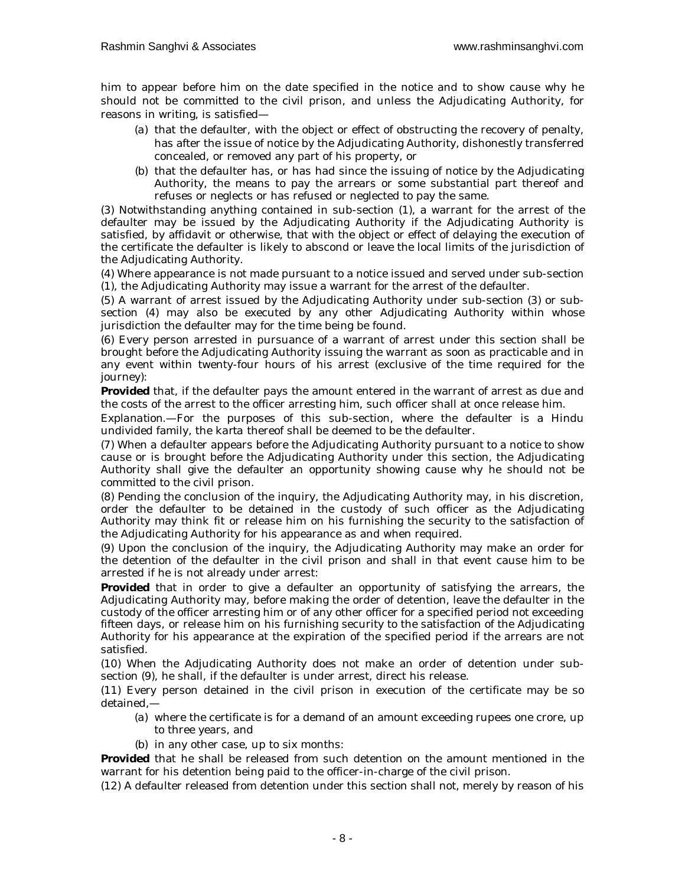him to appear before him on the date specified in the notice and to show cause why he should not be committed to the civil prison, and unless the Adjudicating Authority, for reasons in writing, is satisfied—

- (*a*) that the defaulter, with the object or effect of obstructing the recovery of penalty, has after the issue of notice by the Adjudicating Authority, dishonestly transferred concealed, or removed any part of his property, or
- (*b*) that the defaulter has, or has had since the issuing of notice by the Adjudicating Authority, the means to pay the arrears or some substantial part thereof and refuses or neglects or has refused or neglected to pay the same.

(3) Notwithstanding anything contained in sub-section (1), a warrant for the arrest of the defaulter may be issued by the Adjudicating Authority if the Adjudicating Authority is satisfied, by affidavit or otherwise, that with the object or effect of delaying the execution of the certificate the defaulter is likely to abscond or leave the local limits of the jurisdiction of the Adjudicating Authority.

(4) Where appearance is not made pursuant to a notice issued and served under sub-section (1), the Adjudicating Authority may issue a warrant for the arrest of the defaulter.

(5) A warrant of arrest issued by the Adjudicating Authority under sub-section (3) or subsection (4) may also be executed by any other Adjudicating Authority within whose jurisdiction the defaulter may for the time being be found.

(6) Every person arrested in pursuance of a warrant of arrest under this section shall be brought before the Adjudicating Authority issuing the warrant as soon as practicable and in any event within twenty-four hours of his arrest (exclusive of the time required for the journey):

**Provided** that, if the defaulter pays the amount entered in the warrant of arrest as due and the costs of the arrest to the officer arresting him, such officer shall at once release him.

*Explanation.*—For the purposes of this sub-section, where the defaulter is a Hindu undivided family, the *karta* thereof shall be deemed to be the defaulter.

(7) When a defaulter appears before the Adjudicating Authority pursuant to a notice to show cause or is brought before the Adjudicating Authority under this section, the Adjudicating Authority shall give the defaulter an opportunity showing cause why he should not be committed to the civil prison.

(8) Pending the conclusion of the inquiry, the Adjudicating Authority may, in his discretion, order the defaulter to be detained in the custody of such officer as the Adjudicating Authority may think fit or release him on his furnishing the security to the satisfaction of the Adjudicating Authority for his appearance as and when required.

(9) Upon the conclusion of the inquiry, the Adjudicating Authority may make an order for the detention of the defaulter in the civil prison and shall in that event cause him to be arrested if he is not already under arrest:

**Provided** that in order to give a defaulter an opportunity of satisfying the arrears, the Adjudicating Authority may, before making the order of detention, leave the defaulter in the custody of the officer arresting him or of any other officer for a specified period not exceeding fifteen days, or release him on his furnishing security to the satisfaction of the Adjudicating Authority for his appearance at the expiration of the specified period if the arrears are not satisfied.

(10) When the Adjudicating Authority does not make an order of detention under subsection (9), he shall, if the defaulter is under arrest, direct his release.

(11) Every person detained in the civil prison in execution of the certificate may be so detained,—

- (*a*) where the certificate is for a demand of an amount exceeding rupees one crore, up to three years, and
- (*b*) in any other case, up to six months:

**Provided** that he shall be released from such detention on the amount mentioned in the warrant for his detention being paid to the officer-in-charge of the civil prison.

(12) A defaulter released from detention under this section shall not, merely by reason of his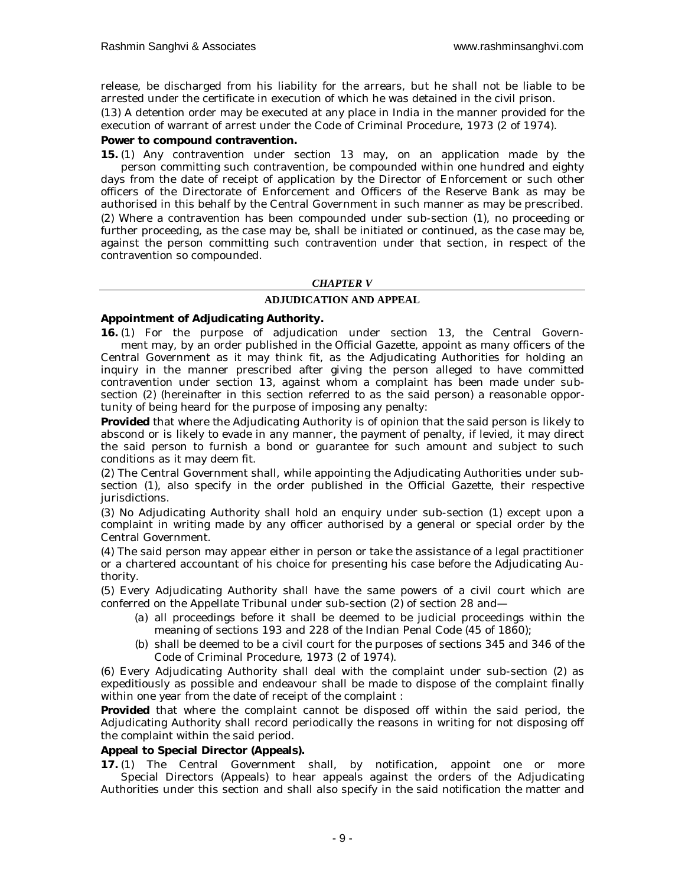release, be discharged from his liability for the arrears, but he shall not be liable to be arrested under the certificate in execution of which he was detained in the civil prison.

(13) A detention order may be executed at any place in India in the manner provided for the execution of warrant of arrest under the Code of Criminal Procedure, 1973 (2 of 1974).

## **Power to compound contravention.**

**15.** (1) Any contravention under section 13 may, on an application made by the person committing such contravention, be compounded within one hundred and eighty days from the date of receipt of application by the Director of Enforcement or such other officers of the Directorate of Enforcement and Officers of the Reserve Bank as may be authorised in this behalf by the Central Government in such manner as may be prescribed. (2) Where a contravention has been compounded under sub-section (1), no proceeding or further proceeding, as the case may be, shall be initiated or continued, as the case may be, against the person committing such contravention under that section, in respect of the contravention so compounded.

# *CHAPTER V*

#### **ADJUDICATION AND APPEAL**

## **Appointment of Adjudicating Authority.**

**16.** (1) For the purpose of adjudication under section 13, the Central Govern ment may, by an order published in the Official Gazette, appoint as many officers of the Central Government as it may think fit, as the Adjudicating Authorities for holding an inquiry in the manner prescribed after giving the person alleged to have committed contravention under section 13, against whom a complaint has been made under subsection (2) (hereinafter in this section referred to as the said person) a reasonable opportunity of being heard for the purpose of imposing any penalty:

**Provided** that where the Adjudicating Authority is of opinion that the said person is likely to abscond or is likely to evade in any manner, the payment of penalty, if levied, it may direct the said person to furnish a bond or guarantee for such amount and subject to such conditions as it may deem fit.

(2) The Central Government shall, while appointing the Adjudicating Authorities under subsection (1), also specify in the order published in the Official Gazette, their respective jurisdictions.

(3) No Adjudicating Authority shall hold an enquiry under sub-section (1) except upon a complaint in writing made by any officer authorised by a general or special order by the Central Government.

(4) The said person may appear either in person or take the assistance of a legal practitioner or a chartered accountant of his choice for presenting his case before the Adjudicating Authority.

(5) Every Adjudicating Authority shall have the same powers of a civil court which are conferred on the Appellate Tribunal under sub-section (2) of section 28 and—

- (*a*) all proceedings before it shall be deemed to be judicial proceedings within the meaning of sections 193 and 228 of the Indian Penal Code (45 of 1860);
- (*b*) shall be deemed to be a civil court for the purposes of sections 345 and 346 of the Code of Criminal Procedure, 1973 (2 of 1974).

(6) Every Adjudicating Authority shall deal with the complaint under sub-section (2) as expeditiously as possible and endeavour shall be made to dispose of the complaint finally within one year from the date of receipt of the complaint :

**Provided** that where the complaint cannot be disposed off within the said period, the Adjudicating Authority shall record periodically the reasons in writing for not disposing off the complaint within the said period.

# **Appeal to Special Director (Appeals).**

**17.** (1) The Central Government shall, by notification, appoint one or more Special Directors (Appeals) to hear appeals against the orders of the Adjudicating Authorities under this section and shall also specify in the said notification the matter and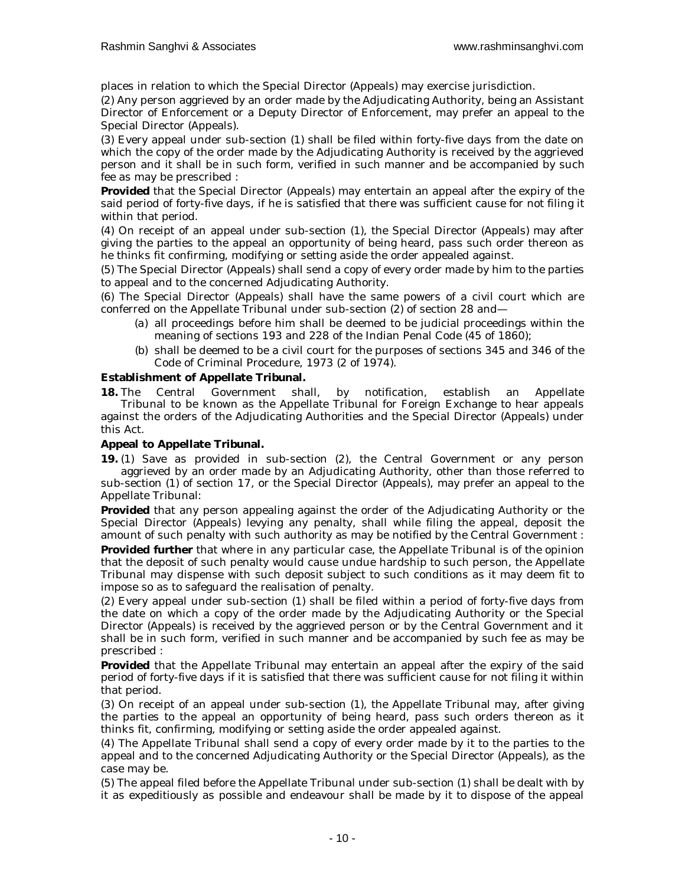places in relation to which the Special Director (Appeals) may exercise jurisdiction.

(2) Any person aggrieved by an order made by the Adjudicating Authority, being an Assistant Director of Enforcement or a Deputy Director of Enforcement, may prefer an appeal to the Special Director (Appeals).

(3) Every appeal under sub-section (1) shall be filed within forty-five days from the date on which the copy of the order made by the Adjudicating Authority is received by the aggrieved person and it shall be in such form, verified in such manner and be accompanied by such fee as may be prescribed :

**Provided** that the Special Director (Appeals) may entertain an appeal after the expiry of the said period of forty-five days, if he is satisfied that there was sufficient cause for not filing it within that period.

(4) On receipt of an appeal under sub-section (1), the Special Director (Appeals) may after giving the parties to the appeal an opportunity of being heard, pass such order thereon as he thinks fit confirming, modifying or setting aside the order appealed against.

(5) The Special Director (Appeals) shall send a copy of every order made by him to the parties to appeal and to the concerned Adjudicating Authority.

(6) The Special Director (Appeals) shall have the same powers of a civil court which are conferred on the Appellate Tribunal under sub-section (2) of section 28 and—

- (*a*) all proceedings before him shall be deemed to be judicial proceedings within the meaning of sections 193 and 228 of the Indian Penal Code (45 of 1860);
- (*b*) shall be deemed to be a civil court for the purposes of sections 345 and 346 of the Code of Criminal Procedure, 1973 (2 of 1974).

# **Establishment of Appellate Tribunal.**

**18.** The Central Government shall, by notification, establish an Appellate Tribunal to be known as the Appellate Tribunal for Foreign Exchange to hear appeals against the orders of the Adjudicating Authorities and the Special Director (Appeals) under this Act.

## **Appeal to Appellate Tribunal.**

**19.** (1) Save as provided in sub-section (2), the Central Government or any person aggrieved by an order made by an Adjudicating Authority, other than those referred to sub-section (1) of section 17, or the Special Director (Appeals), may prefer an appeal to the Appellate Tribunal:

**Provided** that any person appealing against the order of the Adjudicating Authority or the Special Director (Appeals) levying any penalty, shall while filing the appeal, deposit the amount of such penalty with such authority as may be notified by the Central Government :

**Provided further** that where in any particular case, the Appellate Tribunal is of the opinion that the deposit of such penalty would cause undue hardship to such person, the Appellate Tribunal may dispense with such deposit subject to such conditions as it may deem fit to impose so as to safeguard the realisation of penalty.

(2) Every appeal under sub-section (1) shall be filed within a period of forty-five days from the date on which a copy of the order made by the Adjudicating Authority or the Special Director (Appeals) is received by the aggrieved person or by the Central Government and it shall be in such form, verified in such manner and be accompanied by such fee as may be prescribed :

**Provided** that the Appellate Tribunal may entertain an appeal after the expiry of the said period of forty-five days if it is satisfied that there was sufficient cause for not filing it within that period.

(3) On receipt of an appeal under sub-section (1), the Appellate Tribunal may, after giving the parties to the appeal an opportunity of being heard, pass such orders thereon as it thinks fit, confirming, modifying or setting aside the order appealed against.

(4) The Appellate Tribunal shall send a copy of every order made by it to the parties to the appeal and to the concerned Adjudicating Authority or the Special Director (Appeals), as the case may be.

(5) The appeal filed before the Appellate Tribunal under sub-section (1) shall be dealt with by it as expeditiously as possible and endeavour shall be made by it to dispose of the appeal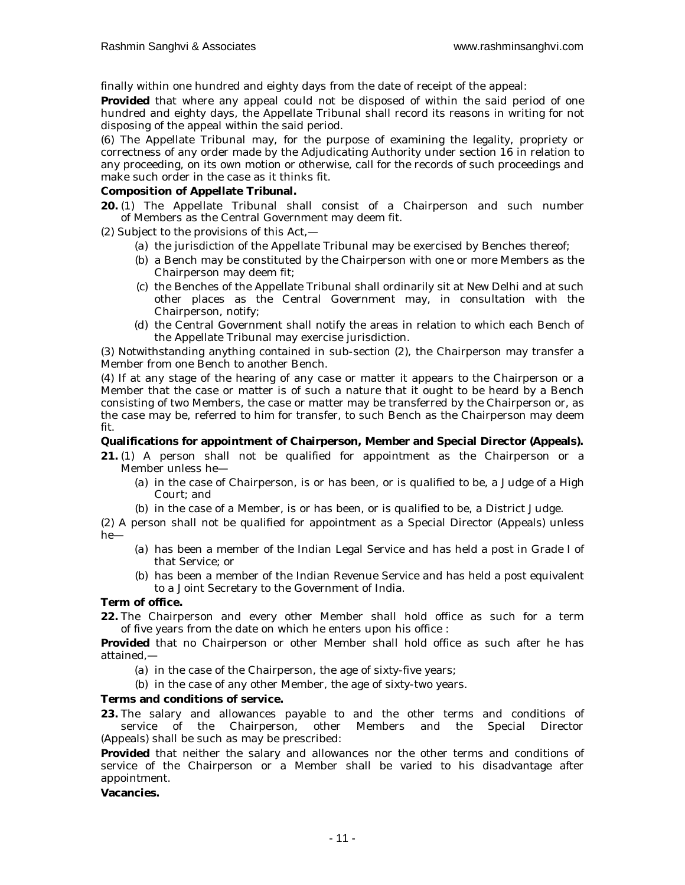finally within one hundred and eighty days from the date of receipt of the appeal:

**Provided** that where any appeal could not be disposed of within the said period of one hundred and eighty days, the Appellate Tribunal shall record its reasons in writing for not disposing of the appeal within the said period.

(6) The Appellate Tribunal may, for the purpose of examining the legality, propriety or correctness of any order made by the Adjudicating Authority under section 16 in relation to any proceeding, on its own motion or otherwise, call for the records of such proceedings and make such order in the case as it thinks fit.

## **Composition of Appellate Tribunal.**

**20.** (1) The Appellate Tribunal shall consist of a Chairperson and such number of Members as the Central Government may deem fit.

(2) Subject to the provisions of this Act,—

- (*a*) the jurisdiction of the Appellate Tribunal may be exercised by Benches thereof;
- (*b*) a Bench may be constituted by the Chairperson with one or more Members as the Chairperson may deem fit;
- (*c*) the Benches of the Appellate Tribunal shall ordinarily sit at New Delhi and at such other places as the Central Government may, in consultation with the Chairperson, notify;
- (*d*) the Central Government shall notify the areas in relation to which each Bench of the Appellate Tribunal may exercise jurisdiction.

(3) Notwithstanding anything contained in sub-section (2), the Chairperson may transfer a Member from one Bench to another Bench.

(4) If at any stage of the hearing of any case or matter it appears to the Chairperson or a Member that the case or matter is of such a nature that it ought to be heard by a Bench consisting of two Members, the case or matter may be transferred by the Chairperson or, as the case may be, referred to him for transfer, to such Bench as the Chairperson may deem fit.

## **Qualifications for appointment of Chairperson, Member and Special Director (Appeals).**

- **21.** (1) A person shall not be qualified for appointment as the Chairperson or a Member unless he—
	- (*a*) in the case of Chairperson, is or has been, or is qualified to be, a Judge of a High Court; and
	- (*b*) in the case of a Member, is or has been, or is qualified to be, a District Judge.

(2) A person shall not be qualified for appointment as a Special Director (Appeals) unless he—

- (*a*) has been a member of the Indian Legal Service and has held a post in Grade I of that Service; or
- (*b*) has been a member of the Indian Revenue Service and has held a post equivalent to a Joint Secretary to the Government of India.

## **Term of office.**

**22.** The Chairperson and every other Member shall hold office as such for a term of five years from the date on which he enters upon his office :

**Provided** that no Chairperson or other Member shall hold office as such after he has attained,—

- (*a*) in the case of the Chairperson, the age of sixty-five years;
- (*b*) in the case of any other Member, the age of sixty-two years.

## **Terms and conditions of service.**

**23.** The salary and allowances payable to and the other terms and conditions of service of the Chairperson, other Members and the Special Director (Appeals) shall be such as may be prescribed:

**Provided** that neither the salary and allowances nor the other terms and conditions of service of the Chairperson or a Member shall be varied to his disadvantage after appointment.

#### **Vacancies.**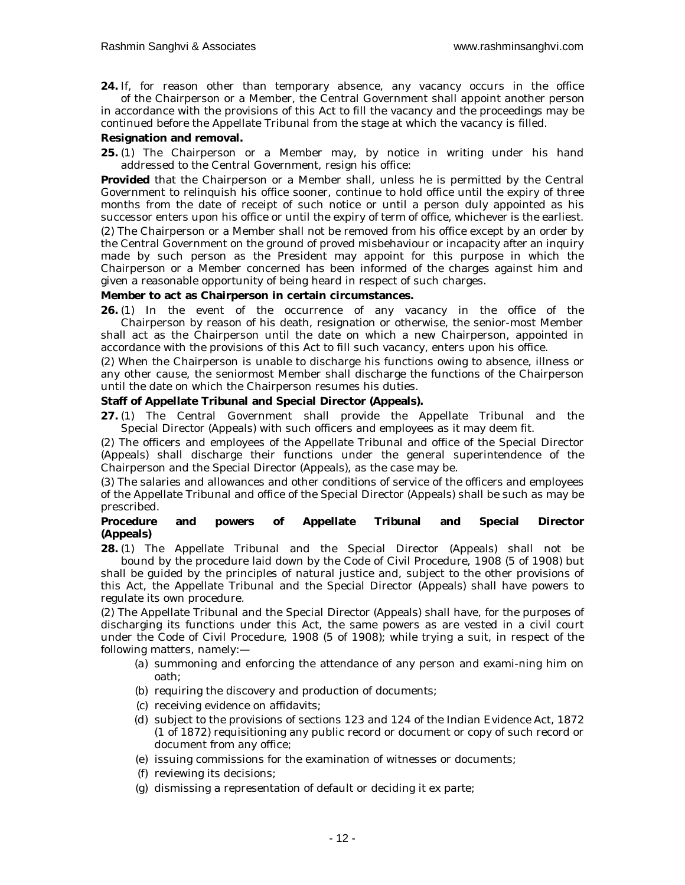**24.** If, for reason other than temporary absence, any vacancy occurs in the office of the Chairperson or a Member, the Central Government shall appoint another person in accordance with the provisions of this Act to fill the vacancy and the proceedings may be

continued before the Appellate Tribunal from the stage at which the vacancy is filled.

## **Resignation and removal.**

**25.** (1) The Chairperson or a Member may, by notice in writing under his hand addressed to the Central Government, resign his office:

**Provided** that the Chairperson or a Member shall, unless he is permitted by the Central Government to relinquish his office sooner, continue to hold office until the expiry of three months from the date of receipt of such notice or until a person duly appointed as his successor enters upon his office or until the expiry of term of office, whichever is the earliest. (2) The Chairperson or a Member shall not be removed from his office except by an order by the Central Government on the ground of proved misbehaviour or incapacity after an inquiry made by such person as the President may appoint for this purpose in which the Chairperson or a Member concerned has been informed of the charges against him and given a reasonable opportunity of being heard in respect of such charges.

# **Member to act as Chairperson in certain circumstances.**

**26.** (1) In the event of the occurrence of any vacancy in the office of the Chairperson by reason of his death, resignation or otherwise, the senior-most Member shall act as the Chairperson until the date on which a new Chairperson, appointed in accordance with the provisions of this Act to fill such vacancy, enters upon his office.

(2) When the Chairperson is unable to discharge his functions owing to absence, illness or any other cause, the seniormost Member shall discharge the functions of the Chairperson until the date on which the Chairperson resumes his duties.

# **Staff of Appellate Tribunal and Special Director (Appeals).**

**27.** (1) The Central Government shall provide the Appellate Tribunal and the Special Director (Appeals) with such officers and employees as it may deem fit.

(2) The officers and employees of the Appellate Tribunal and office of the Special Director (Appeals) shall discharge their functions under the general superintendence of the Chairperson and the Special Director (Appeals), as the case may be.

(3) The salaries and allowances and other conditions of service of the officers and employees of the Appellate Tribunal and office of the Special Director (Appeals) shall be such as may be prescribed.

# **Procedure and powers of Appellate Tribunal and Special Director (Appeals)**

**28.** (1) The Appellate Tribunal and the Special Director (Appeals) shall not be bound by the procedure laid down by the Code of Civil Procedure, 1908 (5 of 1908) but

shall be guided by the principles of natural justice and, subject to the other provisions of this Act, the Appellate Tribunal and the Special Director (Appeals) shall have powers to regulate its own procedure.

(2) The Appellate Tribunal and the Special Director (Appeals) shall have, for the purposes of discharging its functions under this Act, the same powers as are vested in a civil court under the Code of Civil Procedure, 1908 (5 of 1908); while trying a suit, in respect of the following matters, namely:—

- (*a*) summoning and enforcing the attendance of any person and exami-ning him on oath;
- (*b*) requiring the discovery and production of documents;
- (*c*) receiving evidence on affidavits;
- (*d*) subject to the provisions of sections 123 and 124 of the Indian Evidence Act, 1872 (1 of 1872) requisitioning any public record or document or copy of such record or document from any office;
- (*e*) issuing commissions for the examination of witnesses or documents;
- (*f*) reviewing its decisions;
- (*g*) dismissing a representation of default or deciding it *ex parte;*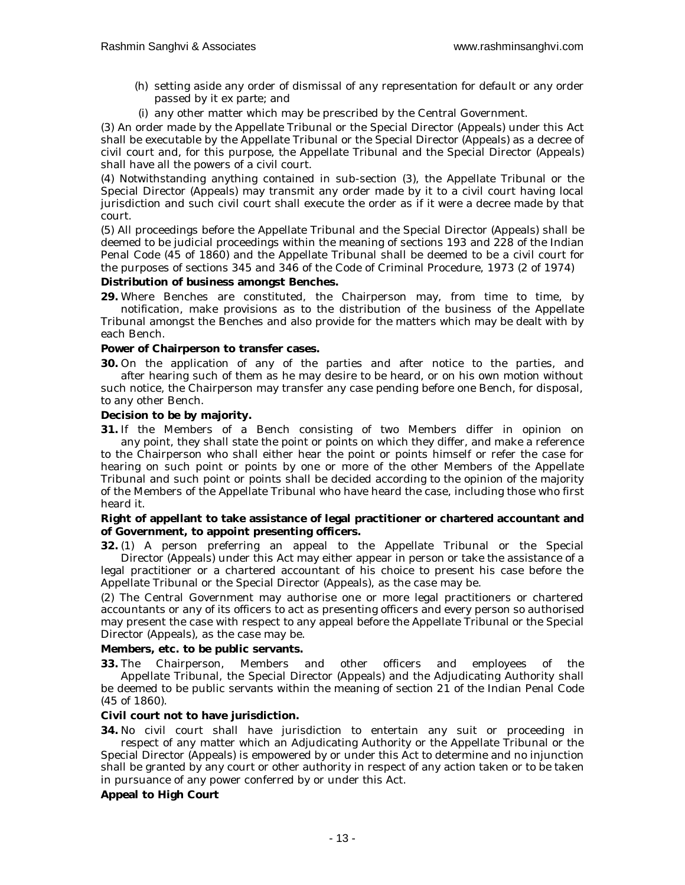- (*h*) setting aside any order of dismissal of any representation for default or any order passed by it *ex parte;* and
- (*i*) any other matter which may be prescribed by the Central Government.

(3) An order made by the Appellate Tribunal or the Special Director (Appeals) under this Act shall be executable by the Appellate Tribunal or the Special Director (Appeals) as a decree of civil court and, for this purpose, the Appellate Tribunal and the Special Director (Appeals) shall have all the powers of a civil court.

(4) Notwithstanding anything contained in sub-section (3), the Appellate Tribunal or the Special Director (Appeals) may transmit any order made by it to a civil court having local jurisdiction and such civil court shall execute the order as if it were a decree made by that court.

(5) All proceedings before the Appellate Tribunal and the Special Director (Appeals) shall be deemed to be judicial proceedings within the meaning of sections 193 and 228 of the Indian Penal Code (45 of 1860) and the Appellate Tribunal shall be deemed to be a civil court for the purposes of sections 345 and 346 of the Code of Criminal Procedure, 1973 (2 of 1974)

## **Distribution of business amongst Benches.**

**29.** Where Benches are constituted, the Chairperson may, from time to time, by notification, make provisions as to the distribution of the business of the Appellate Tribunal amongst the Benches and also provide for the matters which may be dealt with by each Bench.

# **Power of Chairperson to transfer cases.**

**30.** On the application of any of the parties and after notice to the parties, and after hearing such of them as he may desire to be heard, or on his own motion without such notice, the Chairperson may transfer any case pending before one Bench, for disposal, to any other Bench.

## **Decision to be by majority.**

**31.** If the Members of a Bench consisting of two Members differ in opinion on any point, they shall state the point or points on which they differ, and make a reference to the Chairperson who shall either hear the point or points himself or refer the case for hearing on such point or points by one or more of the other Members of the Appellate Tribunal and such point or points shall be decided according to the opinion of the majority of the Members of the Appellate Tribunal who have heard the case, including those who first heard it.

## **Right of appellant to take assistance of legal practitioner or chartered accountant and of Government, to appoint presenting officers.**

**32.** (1) A person preferring an appeal to the Appellate Tribunal or the Special Director (Appeals) under this Act may either appear in person or take the assistance of a legal practitioner or a chartered accountant of his choice to present his case before the Appellate Tribunal or the Special Director (Appeals), as the case may be.

(2) The Central Government may authorise one or more legal practitioners or chartered accountants or any of its officers to act as presenting officers and every person so authorised may present the case with respect to any appeal before the Appellate Tribunal or the Special Director (Appeals), as the case may be.

## **Members, etc. to be public servants.**

**33.** The Chairperson, Members and other officers and employees of the Appellate Tribunal, the Special Director (Appeals) and the Adjudicating Authority shall be deemed to be public servants within the meaning of section 21 of the Indian Penal Code (45 of 1860).

## **Civil court not to have jurisdiction.**

**34.** No civil court shall have jurisdiction to entertain any suit or proceeding in respect of any matter which an Adjudicating Authority or the Appellate Tribunal or the Special Director (Appeals) is empowered by or under this Act to determine and no injunction shall be granted by any court or other authority in respect of any action taken or to be taken in pursuance of any power conferred by or under this Act.

## **Appeal to High Court**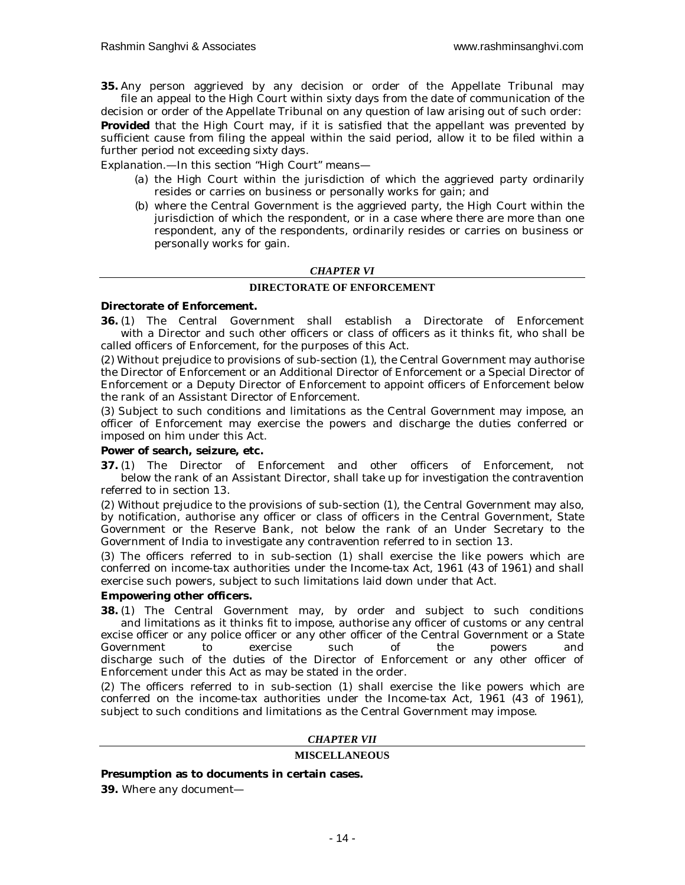**35.** Any person aggrieved by any decision or order of the Appellate Tribunal may file an appeal to the High Court within sixty days from the date of communication of the decision or order of the Appellate Tribunal on any question of law arising out of such order:

**Provided** that the High Court may, if it is satisfied that the appellant was prevented by sufficient cause from filing the appeal within the said period, allow it to be filed within a further period not exceeding sixty days.

*Explanation*.—In this section "High Court" means—

- (*a*) the High Court within the jurisdiction of which the aggrieved party ordinarily resides or carries on business or personally works for gain; and
- (*b*) where the Central Government is the aggrieved party, the High Court within the jurisdiction of which the respondent, or in a case where there are more than one respondent, any of the respondents, ordinarily resides or carries on business or personally works for gain.

## *CHAPTER VI*

## **DIRECTORATE OF ENFORCEMENT**

#### **Directorate of Enforcement.**

**36.** (1) The Central Government shall establish a Directorate of Enforcement with a Director and such other officers or class of officers as it thinks fit, who shall be called officers of Enforcement, for the purposes of this Act.

(2) Without prejudice to provisions of sub-section (1), the Central Government may authorise the Director of Enforcement or an Additional Director of Enforcement or a Special Director of Enforcement or a Deputy Director of Enforcement to appoint officers of Enforcement below the rank of an Assistant Director of Enforcement.

(3) Subject to such conditions and limitations as the Central Government may impose, an officer of Enforcement may exercise the powers and discharge the duties conferred or imposed on him under this Act.

## **Power of search, seizure, etc.**

**37.** (1) The Director of Enforcement and other officers of Enforcement, not below the rank of an Assistant Director, shall take up for investigation the contravention referred to in section 13.

(2) Without prejudice to the provisions of sub-section (1), the Central Government may also, by notification, authorise any officer or class of officers in the Central Government, State Government or the Reserve Bank, not below the rank of an Under Secretary to the Government of India to investigate any contravention referred to in section 13.

(3) The officers referred to in sub-section (1) shall exercise the like powers which are conferred on income-tax authorities under the Income-tax Act, 1961 (43 of 1961) and shall exercise such powers, subject to such limitations laid down under that Act.

## **Empowering other officers.**

**38.** (1) The Central Government may, by order and subject to such conditions and limitations as it thinks fit to impose, authorise any officer of customs or any central excise officer or any police officer or any other officer of the Central Government or a State<br>
Government to exercise such of the powers and Government to exercise such of the powers and discharge such of the duties of the Director of Enforcement or any other officer of Enforcement under this Act as may be stated in the order.

(2) The officers referred to in sub-section (1) shall exercise the like powers which are conferred on the income-tax authorities under the Income-tax Act, 1961 (43 of 1961), subject to such conditions and limitations as the Central Government may impose.

#### *CHAPTER VII*

#### **MISCELLANEOUS**

# **Presumption as to documents in certain cases.**

**39.** Where any document—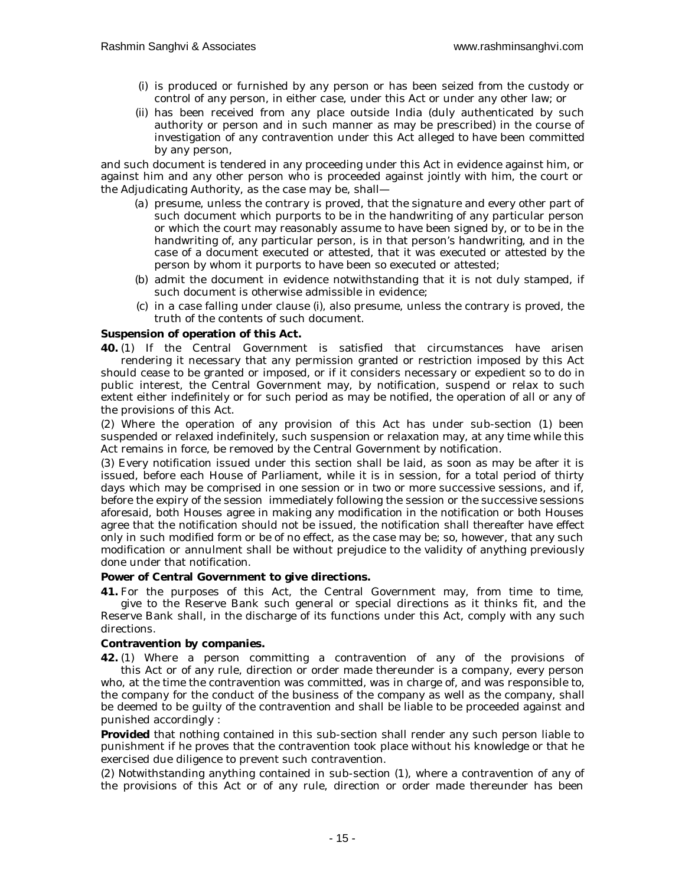- (*i*) is produced or furnished by any person or has been seized from the custody or control of any person, in either case, under this Act or under any other law; or
- (*ii*) has been received from any place outside India (duly authenticated by such authority or person and in such manner as may be prescribed) in the course of investigation of any contravention under this Act alleged to have been committed by any person,

and such document is tendered in any proceeding under this Act in evidence against him, or against him and any other person who is proceeded against jointly with him, the court or the Adjudicating Authority, as the case may be, shall—

- (*a*) presume, unless the contrary is proved, that the signature and every other part of such document which purports to be in the handwriting of any particular person or which the court may reasonably assume to have been signed by, or to be in the handwriting of, any particular person, is in that person's handwriting, and in the case of a document executed or attested, that it was executed or attested by the person by whom it purports to have been so executed or attested;
- (*b*) admit the document in evidence notwithstanding that it is not duly stamped, if such document is otherwise admissible in evidence;
- (*c*) in a case falling under clause (*i*), also presume, unless the contrary is proved, the truth of the contents of such document.

#### **Suspension of operation of this Act.**

**40.** (1) If the Central Government is satisfied that circumstances have arisen rendering it necessary that any permission granted or restriction imposed by this Act should cease to be granted or imposed, or if it considers necessary or expedient so to do in public interest, the Central Government may, by notification, suspend or relax to such extent either indefinitely or for such period as may be notified, the operation of all or any of the provisions of this Act.

(2) Where the operation of any provision of this Act has under sub-section (1) been suspended or relaxed indefinitely, such suspension or relaxation may, at any time while this Act remains in force, be removed by the Central Government by notification.

(3) Every notification issued under this section shall be laid, as soon as may be after it is issued, before each House of Parliament, while it is in session, for a total period of thirty days which may be comprised in one session or in two or more successive sessions, and if, before the expiry of the session immediately following the session or the successive sessions aforesaid, both Houses agree in making any modification in the notification or both Houses agree that the notification should not be issued, the notification shall thereafter have effect only in such modified form or be of no effect, as the case may be; so, however, that any such modification or annulment shall be without prejudice to the validity of anything previously done under that notification.

## **Power of Central Government to give directions.**

**41.** For the purposes of this Act, the Central Government may, from time to time, give to the Reserve Bank such general or special directions as it thinks fit, and the Reserve Bank shall, in the discharge of its functions under this Act, comply with any such directions.

#### **Contravention by companies.**

**42.** (1) Where a person committing a contravention of any of the provisions of this Act or of any rule, direction or order made thereunder is a company, every person who, at the time the contravention was committed, was in charge of, and was responsible to, the company for the conduct of the business of the company as well as the company, shall be deemed to be guilty of the contravention and shall be liable to be proceeded against and punished accordingly :

**Provided** that nothing contained in this sub-section shall render any such person liable to punishment if he proves that the contravention took place without his knowledge or that he exercised due diligence to prevent such contravention.

(2) Notwithstanding anything contained in sub-section (1), where a contravention of any of the provisions of this Act or of any rule, direction or order made thereunder has been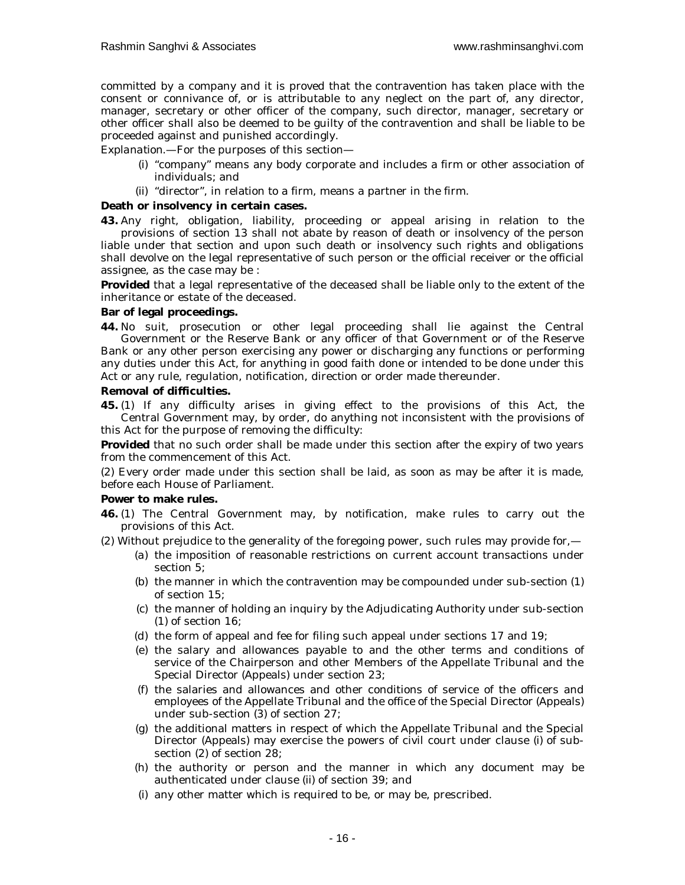committed by a company and it is proved that the contravention has taken place with the consent or connivance of, or is attributable to any neglect on the part of, any director, manager, secretary or other officer of the company, such director, manager, secretary or other officer shall also be deemed to be guilty of the contravention and shall be liable to be proceeded against and punished accordingly.

*Explanation.*—For the purposes of this section—

- (*i*) "company" means any body corporate and includes a firm or other association of individuals; and
- (*ii*) "director", in relation to a firm, means a partner in the firm.

#### **Death or insolvency in certain cases.**

**43.** Any right, obligation, liability, proceeding or appeal arising in relation to the provisions of section 13 shall not abate by reason of death or insolvency of the person liable under that section and upon such death or insolvency such rights and obligations shall devolve on the legal representative of such person or the official receiver or the official assignee, as the case may be :

**Provided** that a legal representative of the deceased shall be liable only to the extent of the inheritance or estate of the deceased.

## **Bar of legal proceedings.**

**44.** No suit, prosecution or other legal proceeding shall lie against the Central Government or the Reserve Bank or any officer of that Government or of the Reserve Bank or any other person exercising any power or discharging any functions or performing any duties under this Act, for anything in good faith done or intended to be done under this Act or any rule, regulation, notification, direction or order made thereunder.

# **Removal of difficulties.**

**45.** (1) If any difficulty arises in giving effect to the provisions of this Act, the Central Government may, by order, do anything not inconsistent with the provisions of this Act for the purpose of removing the difficulty:

**Provided** that no such order shall be made under this section after the expiry of two years from the commencement of this Act.

(2) Every order made under this section shall be laid, as soon as may be after it is made, before each House of Parliament.

## **Power to make rules.**

- **46.** (1) The Central Government may, by notification, make rules to carry out the provisions of this Act.
- (2) Without prejudice to the generality of the foregoing power, such rules may provide for,—
	- (*a*) the imposition of reasonable restrictions on current account transactions under section 5;
	- (*b*) the manner in which the contravention may be compounded under sub-section (1) of section 15;
	- (*c*) the manner of holding an inquiry by the Adjudicating Authority under sub-section (1) of section 16;
	- (*d*) the form of appeal and fee for filing such appeal under sections 17 and 19;
	- (*e*) the salary and allowances payable to and the other terms and conditions of service of the Chairperson and other Members of the Appellate Tribunal and the Special Director (Appeals) under section 23;
	- (*f*) the salaries and allowances and other conditions of service of the officers and employees of the Appellate Tribunal and the office of the Special Director (Appeals) under sub-section (3) of section 27;
	- (*g*) the additional matters in respect of which the Appellate Tribunal and the Special Director (Appeals) may exercise the powers of civil court under clause (*i*) of subsection (2) of section 28;
	- (*h*) the authority or person and the manner in which any document may be authenticated under clause (*ii*) of section 39; and
	- (*i*) any other matter which is required to be, or may be, prescribed.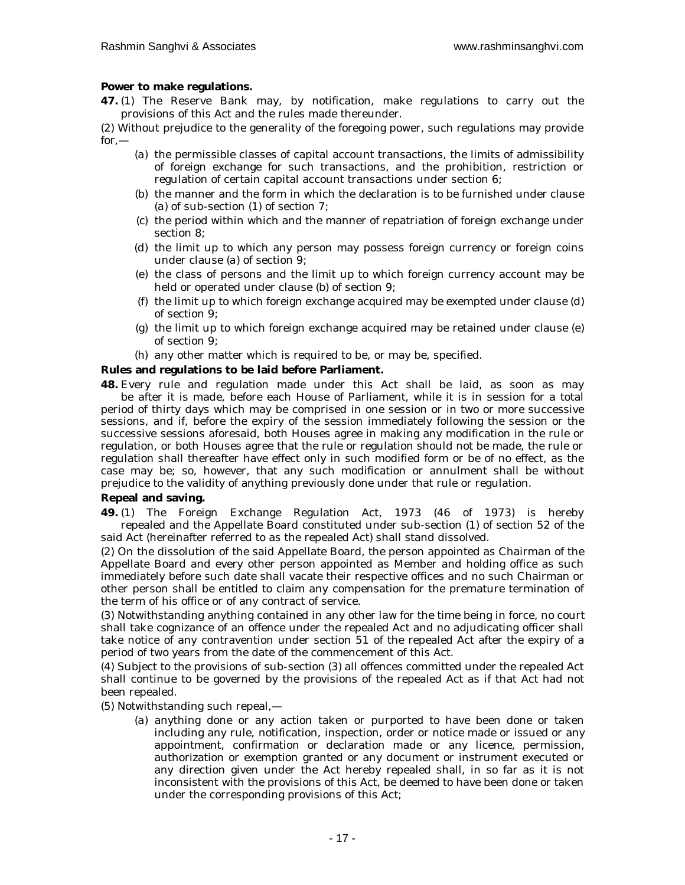## **Power to make regulations.**

**47.** (1) The Reserve Bank may, by notification, make regulations to carry out the provisions of this Act and the rules made thereunder.

(2) Without prejudice to the generality of the foregoing power, such regulations may provide for,—

- (*a*) the permissible classes of capital account transactions, the limits of admissibility of foreign exchange for such transactions, and the prohibition, restriction or regulation of certain capital account transactions under section 6;
- (*b*) the manner and the form in which the declaration is to be furnished under clause (*a*) of sub-section (1) of section 7;
- (*c*) the period within which and the manner of repatriation of foreign exchange under section 8;
- (*d*) the limit up to which any person may possess foreign currency or foreign coins under clause (*a*) of section 9;
- (*e*) the class of persons and the limit up to which foreign currency account may be held or operated under clause (*b*) of section 9;
- (*f*) the limit up to which foreign exchange acquired may be exempted under clause (*d*) of section 9;
- (*g*) the limit up to which foreign exchange acquired may be retained under clause (*e*) of section 9;
- (*h*) any other matter which is required to be, or may be, specified.

## **Rules and regulations to be laid before Parliament.**

**48.** Every rule and regulation made under this Act shall be laid, as soon as may be after it is made, before each House of Parliament, while it is in session for a total period of thirty days which may be comprised in one session or in two or more successive

sessions, and if, before the expiry of the session immediately following the session or the successive sessions aforesaid, both Houses agree in making any modification in the rule or regulation, or both Houses agree that the rule or regulation should not be made, the rule or regulation shall thereafter have effect only in such modified form or be of no effect, as the case may be; so, however, that any such modification or annulment shall be without prejudice to the validity of anything previously done under that rule or regulation.

#### **Repeal and saving.**

**49.** (1) The Foreign Exchange Regulation Act, 1973 (46 of 1973) is hereby repealed and the Appellate Board constituted under sub-section (1) of section 52 of the said Act (hereinafter referred to as the repealed Act) shall stand dissolved.

(2) On the dissolution of the said Appellate Board, the person appointed as Chairman of the Appellate Board and every other person appointed as Member and holding office as such immediately before such date shall vacate their respective offices and no such Chairman or other person shall be entitled to claim any compensation for the premature termination of the term of his office or of any contract of service.

(3) Notwithstanding anything contained in any other law for the time being in force, no court shall take cognizance of an offence under the repealed Act and no adjudicating officer shall take notice of any contravention under section 51 of the repealed Act after the expiry of a period of two years from the date of the commencement of this Act.

(4) Subject to the provisions of sub-section (3) all offences committed under the repealed Act shall continue to be governed by the provisions of the repealed Act as if that Act had not been repealed.

(5) Notwithstanding such repeal,—

 (*a*) anything done or any action taken or purported to have been done or taken including any rule, notification, inspection, order or notice made or issued or any appointment, confirmation or declaration made or any licence, permission, authorization or exemption granted or any document or instrument executed or any direction given under the Act hereby repealed shall, in so far as it is not inconsistent with the provisions of this Act, be deemed to have been done or taken under the corresponding provisions of this Act;